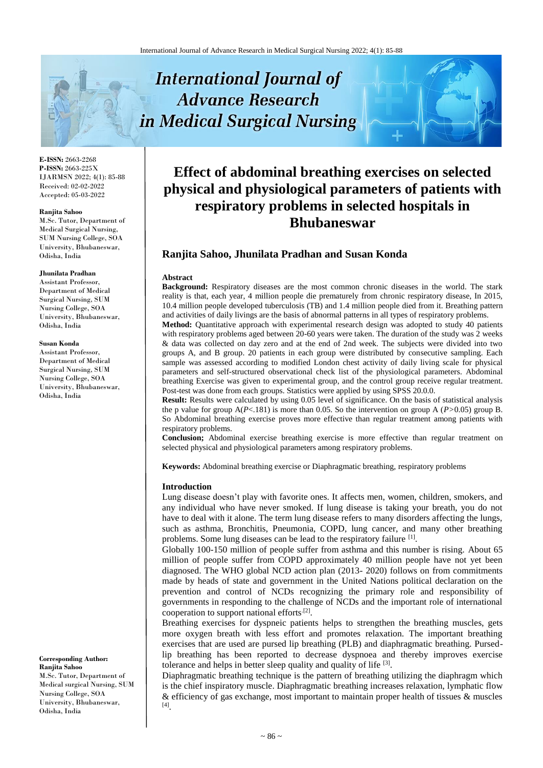# **International Journal of Advance Research** in Medical Surgical Nursing



**E-ISSN:** 2663-2268 **P-ISSN:** 2663-225X IJARMSN 2022; 4(1): 85-88 Received: 02-02-2022 Accepted: 05-03-2022

#### **Ranjita Sahoo**

M.Sc. Tutor, Department of Medical Surgical Nursing, SUM Nursing College, SOA University, Bhubaneswar, Odisha, India

#### **Jhunilata Pradhan**

Assistant Professor, Department of Medical Surgical Nursing, SUM Nursing College, SOA University, Bhubaneswar, Odisha, India

#### **Susan Konda**

Assistant Professor, Department of Medical Surgical Nursing, SUM Nursing College, SOA University, Bhubaneswar, Odisha, India

**Corresponding Author: Ranjita Sahoo** M.Sc. Tutor, Department of Medical surgical Nursing, SUM Nursing College, SOA University, Bhubaneswar, Odisha, India

**Effect of abdominal breathing exercises on selected physical and physiological parameters of patients with respiratory problems in selected hospitals in Bhubaneswar**

## **Ranjita Sahoo, Jhunilata Pradhan and Susan Konda**

#### **Abstract**

**Background:** Respiratory diseases are the most common chronic diseases in the world. The stark reality is that, each year, 4 million people die prematurely from chronic respiratory disease, In 2015, 10.4 million people developed tuberculosis (TB) and 1.4 million people died from it. Breathing pattern and activities of daily livings are the basis of abnormal patterns in all types of respiratory problems.

**Method:** Quantitative approach with experimental research design was adopted to study 40 patients with respiratory problems aged between 20-60 years were taken. The duration of the study was 2 weeks & data was collected on day zero and at the end of 2nd week. The subjects were divided into two groups A, and B group. 20 patients in each group were distributed by consecutive sampling. Each sample was assessed according to modified London chest activity of daily living scale for physical parameters and self-structured observational check list of the physiological parameters. Abdominal breathing Exercise was given to experimental group, and the control group receive regular treatment. Post-test was done from each groups. Statistics were applied by using SPSS 20.0.0.

**Result:** Results were calculated by using 0.05 level of significance. On the basis of statistical analysis the p value for group A(*P*<.181) is more than 0.05. So the intervention on group A (*P>*0.05) group B. So Abdominal breathing exercise proves more effective than regular treatment among patients with respiratory problems.

**Conclusion;** Abdominal exercise breathing exercise is more effective than regular treatment on selected physical and physiological parameters among respiratory problems.

**Keywords:** Abdominal breathing exercise or Diaphragmatic breathing, respiratory problems

#### **Introduction**

Lung disease doesn't play with favorite ones. It affects men, women, children, smokers, and any individual who have never smoked. If lung disease is taking your breath, you do not have to deal with it alone. The term lung disease refers to many disorders affecting the lungs, such as asthma, Bronchitis, Pneumonia, COPD, lung cancer, and many other breathing problems. Some lung diseases can be lead to the respiratory failure [1].

Globally 100-150 million of people suffer from asthma and this number is rising. About 65 million of people suffer from COPD approximately 40 million people have not yet been diagnosed. The WHO global NCD action plan (2013- 2020) follows on from commitments made by heads of state and government in the United Nations political declaration on the prevention and control of NCDs recognizing the primary role and responsibility of governments in responding to the challenge of NCDs and the important role of international cooperation to support national efforts<sup>[2]</sup>.

Breathing exercises for dyspneic patients helps to strengthen the breathing muscles, gets more oxygen breath with less effort and promotes relaxation. The important breathing exercises that are used are pursed lip breathing (PLB) and diaphragmatic breathing. Pursedlip breathing has been reported to decrease dyspnoea and thereby improves exercise tolerance and helps in better sleep quality and quality of life [3].

Diaphragmatic breathing technique is the pattern of breathing utilizing the diaphragm which is the chief inspiratory muscle. Diaphragmatic breathing increases relaxation, lymphatic flow & efficiency of gas exchange, most important to maintain proper health of tissues & muscles [4] .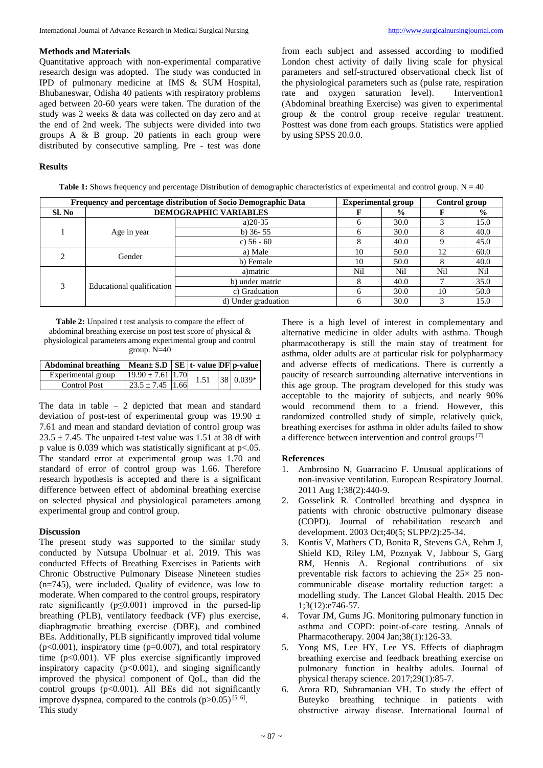## **Methods and Materials**

Quantitative approach with non-experimental comparative research design was adopted. The study was conducted in IPD of pulmonary medicine at IMS & SUM Hospital, Bhubaneswar, Odisha 40 patients with respiratory problems aged between 20-60 years were taken. The duration of the study was 2 weeks & data was collected on day zero and at the end of 2nd week. The subjects were divided into two groups A & B group. 20 patients in each group were distributed by consecutive sampling. Pre - test was done

from each subject and assessed according to modified London chest activity of daily living scale for physical parameters and self-structured observational check list of the physiological parameters such as (pulse rate, respiration rate and oxygen saturation level). Intervention1 rate and oxygen saturation level). (Abdominal breathing Exercise) was given to experimental group & the control group receive regular treatment. Posttest was done from each groups. Statistics were applied by using SPSS 20.0.0.

## **Results**

**Table 1:** Shows frequency and percentage Distribution of demographic characteristics of experimental and control group. N = 40

| Frequency and percentage distribution of Socio Demographic Data |                           |                              | <b>Experimental group</b> |               | Control group |               |
|-----------------------------------------------------------------|---------------------------|------------------------------|---------------------------|---------------|---------------|---------------|
| Sl. No                                                          |                           | <b>DEMOGRAPHIC VARIABLES</b> |                           | $\frac{6}{9}$ |               | $\frac{0}{0}$ |
|                                                                 | Age in year               | a) $20-35$                   | <sub>6</sub>              | 30.0          |               | 15.0          |
|                                                                 |                           | b) $36 - 55$                 | <sub>6</sub>              | 30.0          |               | 40.0          |
|                                                                 |                           | c) $56 - 60$                 |                           | 40.0          |               | 45.0          |
|                                                                 | Gender                    | a) Male                      | 10                        | 50.0          | 12            | 60.0          |
|                                                                 |                           | b) Female                    | 10                        | 50.0          |               | 40.0          |
| $\mathcal{F}$                                                   | Educational qualification | a) matric                    | Nil                       | Nil           | Nil           | Nil           |
|                                                                 |                           | b) under matric              |                           | 40.0          |               | 35.0          |
|                                                                 |                           | c) Graduation                | <sub>6</sub>              | 30.0          | 10            | 50.0          |
|                                                                 |                           | d) Under graduation          | h                         | 30.0          |               | 15.0          |

**Table 2:** Unpaired t test analysis to compare the effect of abdominal breathing exercise on post test score of physical & physiological parameters among experimental group and control group. N=40

| Abdominal breathing   Mean $\pm$ S.D   SE   t - value   DF   p - value |                              |  |           |
|------------------------------------------------------------------------|------------------------------|--|-----------|
| Experimental group                                                     | $19.90 \pm 7.61$ 1.70 $1.51$ |  | 38 0.039* |
| Control Post                                                           | $23.5 + 7.45$ 1.66           |  |           |

The data in table – 2 depicted that mean and standard deviation of post-test of experimental group was  $19.90 \pm$ 7.61 and mean and standard deviation of control group was  $23.5 \pm 7.45$ . The unpaired t-test value was 1.51 at 38 df with p value is 0.039 which was statistically significant at p<.05. The standard error at experimental group was 1.70 and standard of error of control group was 1.66. Therefore research hypothesis is accepted and there is a significant difference between effect of abdominal breathing exercise on selected physical and physiological parameters among experimental group and control group.

## **Discussion**

The present study was supported to the similar study conducted by Nutsupa Ubolnuar et al. 2019. This was conducted Effects of Breathing Exercises in Patients with Chronic Obstructive Pulmonary Disease Nineteen studies (n=745), were included. Quality of evidence, was low to moderate. When compared to the control groups, respiratory rate significantly ( $p \le 0.001$ ) improved in the pursed-lip breathing (PLB), ventilatory feedback (VF) plus exercise, diaphragmatic breathing exercise (DBE), and combined BEs. Additionally, PLB significantly improved tidal volume  $(p<0.001)$ , inspiratory time  $(p=0.007)$ , and total respiratory time (p<0.001). VF plus exercise significantly improved inspiratory capacity  $(p<0.001)$ , and singing significantly improved the physical component of QoL, than did the control groups (p<0.001). All BEs did not significantly improve dyspnea, compared to the controls  $(p>0.05)^{5, 6}$ . This study

There is a high level of interest in complementary and alternative medicine in older adults with asthma. Though pharmacotherapy is still the main stay of treatment for asthma, older adults are at particular risk for polypharmacy and adverse effects of medications. There is currently a paucity of research surrounding alternative interventions in this age group. The program developed for this study was acceptable to the majority of subjects, and nearly 90% would recommend them to a friend. However, this randomized controlled study of simple, relatively quick, breathing exercises for asthma in older adults failed to show a difference between intervention and control groups.<sup>[7]</sup>

## **References**

- 1. Ambrosino N, Guarracino F. Unusual applications of non-invasive ventilation. European Respiratory Journal. 2011 Aug 1;38(2):440-9.
- 2. Gosselink R. Controlled breathing and dyspnea in patients with chronic obstructive pulmonary disease (COPD). Journal of rehabilitation research and development. 2003 Oct;40(5; SUPP/2):25-34.
- 3. Kontis V, Mathers CD, Bonita R, Stevens GA, Rehm J, Shield KD, Riley LM, Poznyak V, Jabbour S, Garg RM, Hennis A. Regional contributions of six preventable risk factors to achieving the 25× 25 noncommunicable disease mortality reduction target: a modelling study. The Lancet Global Health. 2015 Dec 1;3(12):e746-57.
- 4. Tovar JM, Gums JG. Monitoring pulmonary function in asthma and COPD: point-of-care testing. Annals of Pharmacotherapy. 2004 Jan;38(1):126-33.
- 5. Yong MS, Lee HY, Lee YS. Effects of diaphragm breathing exercise and feedback breathing exercise on pulmonary function in healthy adults. Journal of physical therapy science. 2017;29(1):85-7.
- 6. Arora RD, Subramanian VH. To study the effect of Buteyko breathing technique in patients with obstructive airway disease. International Journal of